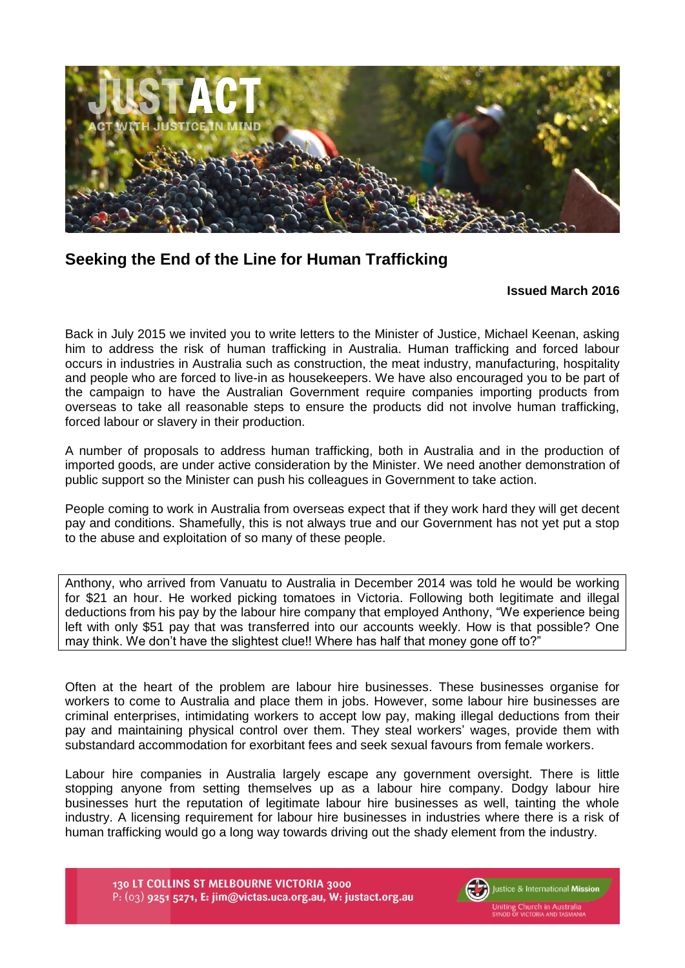

## **Seeking the End of the Line for Human Trafficking**

## **Issued March 2016**

Back in July 2015 we invited you to write letters to the Minister of Justice, Michael Keenan, asking him to address the risk of human trafficking in Australia. Human trafficking and forced labour occurs in industries in Australia such as construction, the meat industry, manufacturing, hospitality and people who are forced to live-in as housekeepers. We have also encouraged you to be part of the campaign to have the Australian Government require companies importing products from overseas to take all reasonable steps to ensure the products did not involve human trafficking, forced labour or slavery in their production.

A number of proposals to address human trafficking, both in Australia and in the production of imported goods, are under active consideration by the Minister. We need another demonstration of public support so the Minister can push his colleagues in Government to take action.

People coming to work in Australia from overseas expect that if they work hard they will get decent pay and conditions. Shamefully, this is not always true and our Government has not yet put a stop to the abuse and exploitation of so many of these people.

Anthony, who arrived from Vanuatu to Australia in December 2014 was told he would be working for \$21 an hour. He worked picking tomatoes in Victoria. Following both legitimate and illegal deductions from his pay by the labour hire company that employed Anthony, "We experience being left with only \$51 pay that was transferred into our accounts weekly. How is that possible? One may think. We don't have the slightest clue!! Where has half that money gone off to?"

Often at the heart of the problem are labour hire businesses. These businesses organise for workers to come to Australia and place them in jobs. However, some labour hire businesses are criminal enterprises, intimidating workers to accept low pay, making illegal deductions from their pay and maintaining physical control over them. They steal workers' wages, provide them with substandard accommodation for exorbitant fees and seek sexual favours from female workers.

Labour hire companies in Australia largely escape any government oversight. There is little stopping anyone from setting themselves up as a labour hire company. Dodgy labour hire businesses hurt the reputation of legitimate labour hire businesses as well, tainting the whole industry. A licensing requirement for labour hire businesses in industries where there is a risk of human trafficking would go a long way towards driving out the shady element from the industry.